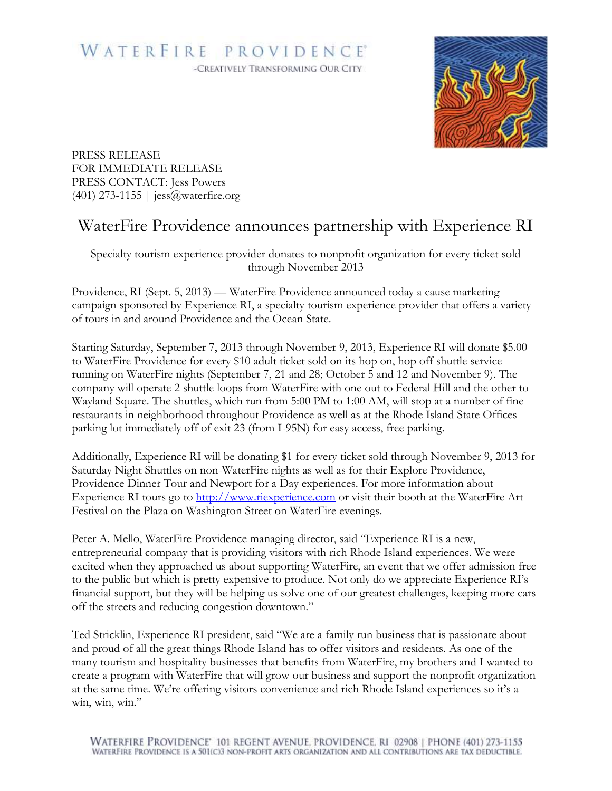## WATERFIRE PROVIDENCE -CREATIVELY TRANSFORMING OUR CITY



PRESS RELEASE FOR IMMEDIATE RELEASE PRESS CONTACT: Jess Powers (401) 273-1155 | jess@waterfire.org

## WaterFire Providence announces partnership with Experience RI

Specialty tourism experience provider donates to nonprofit organization for every ticket sold through November 2013

Providence, RI (Sept. 5, 2013) — WaterFire Providence announced today a cause marketing campaign sponsored by Experience RI, a specialty tourism experience provider that offers a variety of tours in and around Providence and the Ocean State.

Starting Saturday, September 7, 2013 through November 9, 2013, Experience RI will donate \$5.00 to WaterFire Providence for every \$10 adult ticket sold on its hop on, hop off shuttle service running on WaterFire nights (September 7, 21 and 28; October 5 and 12 and November 9). The company will operate 2 shuttle loops from WaterFire with one out to Federal Hill and the other to Wayland Square. The shuttles, which run from 5:00 PM to 1:00 AM, will stop at a number of fine restaurants in neighborhood throughout Providence as well as at the Rhode Island State Offices parking lot immediately off of exit 23 (from I-95N) for easy access, free parking.

Additionally, Experience RI will be donating \$1 for every ticket sold through November 9, 2013 for Saturday Night Shuttles on non-WaterFire nights as well as for their Explore Providence, Providence Dinner Tour and Newport for a Day experiences. For more information about Experience RI tours go to [http://www.riexperience.com](http://www.riexperience.com/) or visit their booth at the WaterFire Art Festival on the Plaza on Washington Street on WaterFire evenings.

Peter A. Mello, WaterFire Providence managing director, said "Experience RI is a new, entrepreneurial company that is providing visitors with rich Rhode Island experiences. We were excited when they approached us about supporting WaterFire, an event that we offer admission free to the public but which is pretty expensive to produce. Not only do we appreciate Experience RI's financial support, but they will be helping us solve one of our greatest challenges, keeping more cars off the streets and reducing congestion downtown."

Ted Stricklin, Experience RI president, said "We are a family run business that is passionate about and proud of all the great things Rhode Island has to offer visitors and residents. As one of the many tourism and hospitality businesses that benefits from WaterFire, my brothers and I wanted to create a program with WaterFire that will grow our business and support the nonprofit organization at the same time. We're offering visitors convenience and rich Rhode Island experiences so it's a win, win."